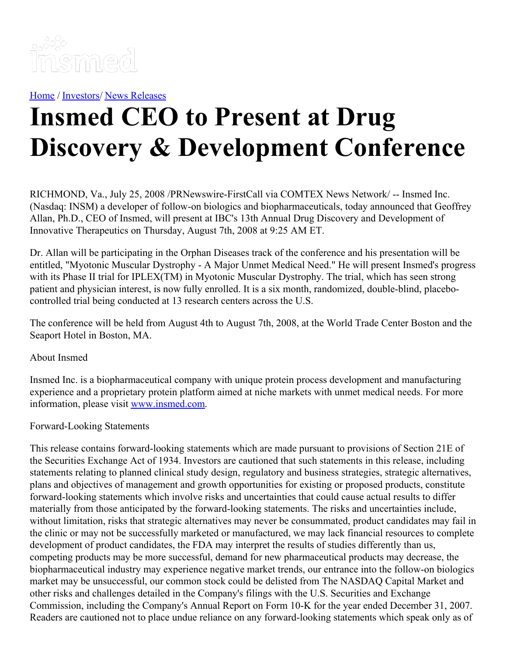

[Home](https://insmed.com/) / [Investors](https://investor.insmed.com/index)/ News [Releases](https://investor.insmed.com/releases)

## **Insmed CEO to Present at Drug Discovery & Development Conference**

RICHMOND, Va., July 25, 2008 /PRNewswire-FirstCall via COMTEX News Network/ -- Insmed Inc. (Nasdaq: INSM) a developer of follow-on biologics and biopharmaceuticals, today announced that Geoffrey Allan, Ph.D., CEO of Insmed, will present at IBC's 13th Annual Drug Discovery and Development of Innovative Therapeutics on Thursday, August 7th, 2008 at 9:25 AM ET.

Dr. Allan will be participating in the Orphan Diseases track of the conference and his presentation will be entitled, "Myotonic Muscular Dystrophy - A Major Unmet Medical Need." He will present Insmed's progress with its Phase II trial for IPLEX(TM) in Myotonic Muscular Dystrophy. The trial, which has seen strong patient and physician interest, is now fully enrolled. It is a six month, randomized, double-blind, placebocontrolled trial being conducted at 13 research centers across the U.S.

The conference will be held from August 4th to August 7th, 2008, at the World Trade Center Boston and the Seaport Hotel in Boston, MA.

## About Insmed

Insmed Inc. is a biopharmaceutical company with unique protein process development and manufacturing experience and a proprietary protein platform aimed at niche markets with unmet medical needs. For more information, please visit [www.insmed.com](http://www.insmed.com/).

## Forward-Looking Statements

This release contains forward-looking statements which are made pursuant to provisions of Section 21E of the Securities Exchange Act of 1934. Investors are cautioned that such statements in this release, including statements relating to planned clinical study design, regulatory and business strategies, strategic alternatives, plans and objectives of management and growth opportunities for existing or proposed products, constitute forward-looking statements which involve risks and uncertainties that could cause actual results to differ materially from those anticipated by the forward-looking statements. The risks and uncertainties include, without limitation, risks that strategic alternatives may never be consummated, product candidates may fail in the clinic or may not be successfully marketed or manufactured, we may lack financial resources to complete development of product candidates, the FDA may interpret the results of studies differently than us, competing products may be more successful, demand for new pharmaceutical products may decrease, the biopharmaceutical industry may experience negative market trends, our entrance into the follow-on biologics market may be unsuccessful, our common stock could be delisted from The NASDAQ Capital Market and other risks and challenges detailed in the Company's filings with the U.S. Securities and Exchange Commission, including the Company's Annual Report on Form 10-K for the year ended December 31, 2007. Readers are cautioned not to place undue reliance on any forward-looking statements which speak only as of